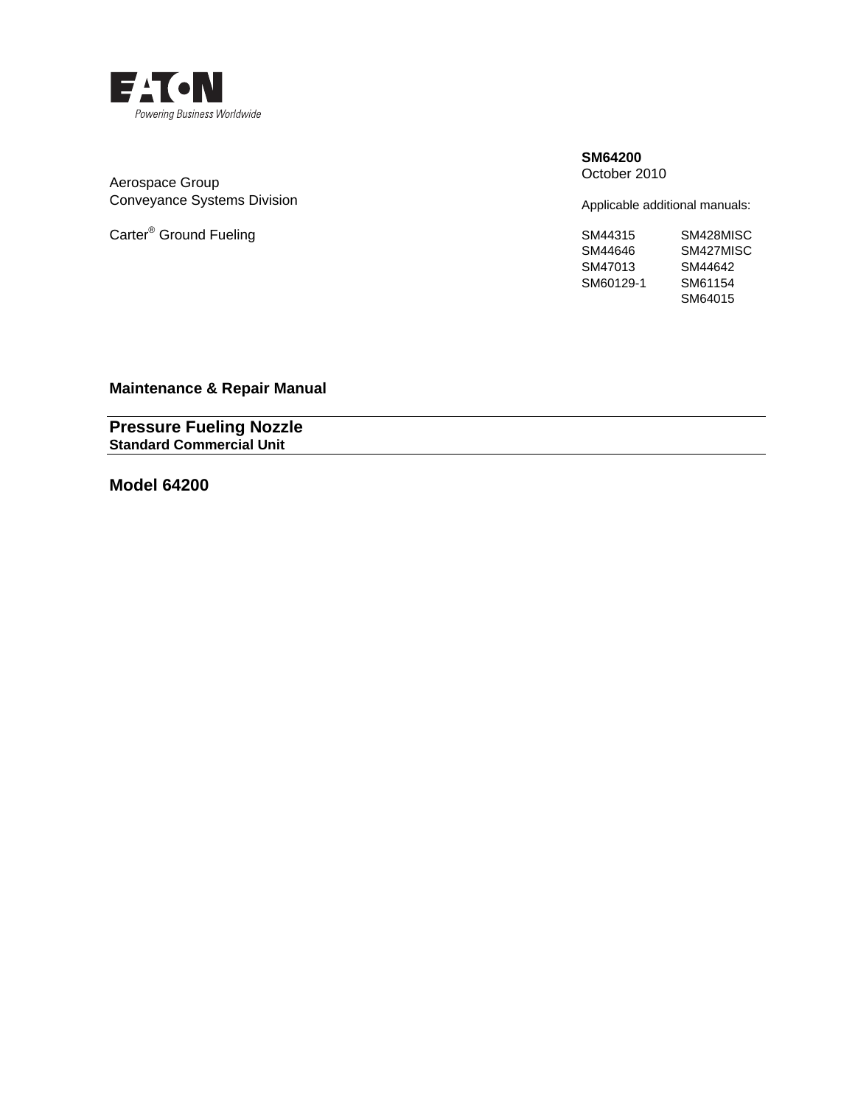

Aerospace Group Conveyance Systems Division

Carter<sup>®</sup> Ground Fueling SM44315

#### **SM64200**  October 2010

Applicable additional manuals:

| SM44315   | SM428MISC |
|-----------|-----------|
| SM44646   | SM427MISC |
| SM47013   | SM44642   |
| SM60129-1 | SM61154   |
|           | SM64015   |

**Maintenance & Repair Manual** 

**Pressure Fueling Nozzle Standard Commercial Unit** 

**Model 64200**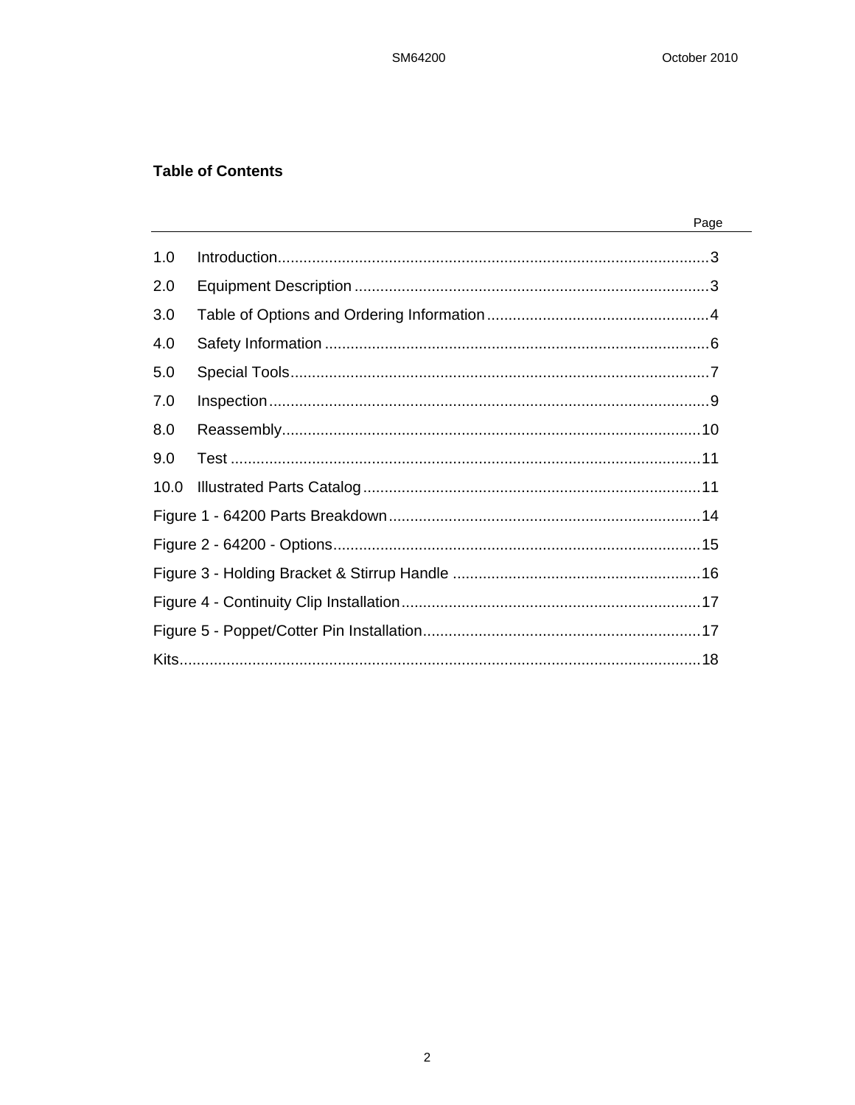# **Table of Contents**

|      | Page |
|------|------|
| 1.0  |      |
| 2.0  |      |
| 3.0  |      |
| 4.0  |      |
| 5.0  |      |
| 7.0  |      |
| 8.0  |      |
| 9.0  |      |
| 10.0 |      |
|      |      |
|      |      |
|      |      |
|      |      |
|      |      |
|      |      |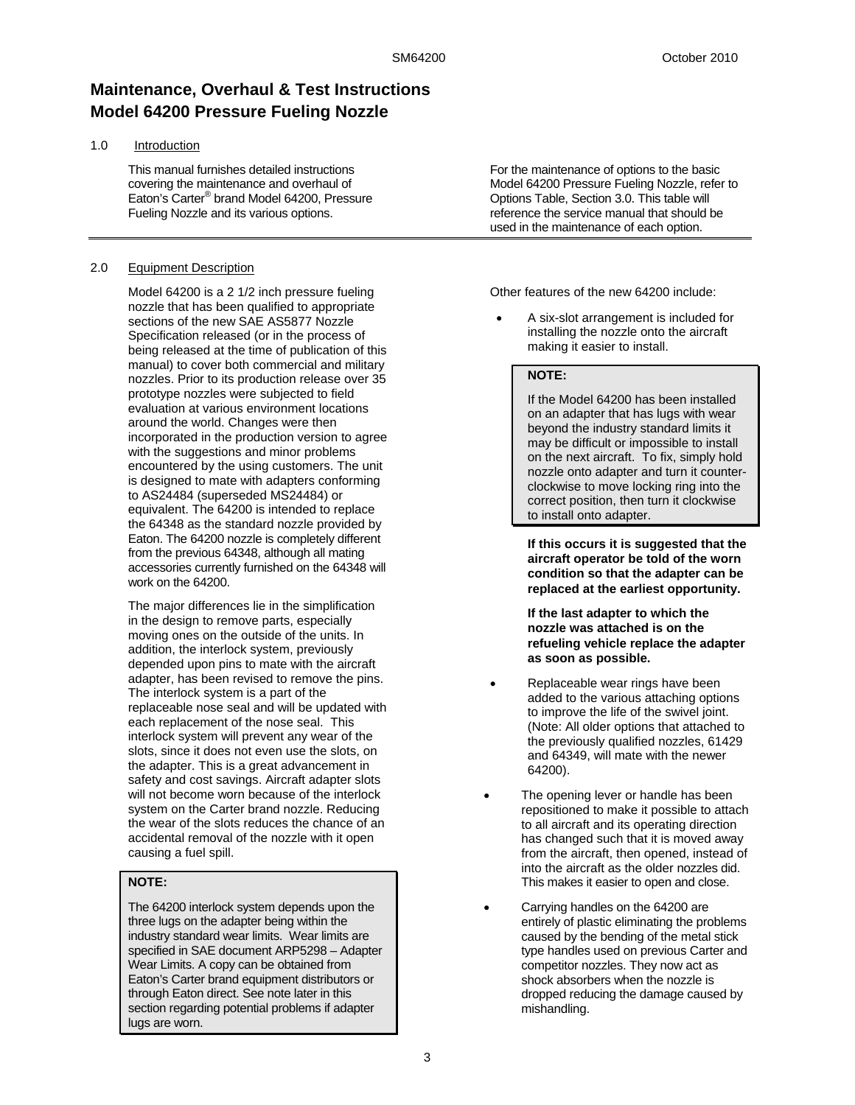# **Maintenance, Overhaul & Test Instructions Model 64200 Pressure Fueling Nozzle**

#### 1.0 Introduction

This manual furnishes detailed instructions covering the maintenance and overhaul of Eaton's Carter® brand Model 64200, Pressure Fueling Nozzle and its various options.

### 2.0 Equipment Description

Model 64200 is a 2 1/2 inch pressure fueling nozzle that has been qualified to appropriate sections of the new SAE AS5877 Nozzle Specification released (or in the process of being released at the time of publication of this manual) to cover both commercial and military nozzles. Prior to its production release over 35 prototype nozzles were subjected to field evaluation at various environment locations around the world. Changes were then incorporated in the production version to agree with the suggestions and minor problems encountered by the using customers. The unit is designed to mate with adapters conforming to AS24484 (superseded MS24484) or equivalent. The 64200 is intended to replace the 64348 as the standard nozzle provided by Eaton. The 64200 nozzle is completely different from the previous 64348, although all mating accessories currently furnished on the 64348 will work on the 64200.

The major differences lie in the simplification in the design to remove parts, especially moving ones on the outside of the units. In addition, the interlock system, previously depended upon pins to mate with the aircraft adapter, has been revised to remove the pins. The interlock system is a part of the replaceable nose seal and will be updated with each replacement of the nose seal. This interlock system will prevent any wear of the slots, since it does not even use the slots, on the adapter. This is a great advancement in safety and cost savings. Aircraft adapter slots will not become worn because of the interlock system on the Carter brand nozzle. Reducing the wear of the slots reduces the chance of an accidental removal of the nozzle with it open causing a fuel spill.

# **NOTE:**

The 64200 interlock system depends upon the three lugs on the adapter being within the industry standard wear limits. Wear limits are specified in SAE document ARP5298 – Adapter Wear Limits. A copy can be obtained from Eaton's Carter brand equipment distributors or through Eaton direct. See note later in this section regarding potential problems if adapter lugs are worn.

For the maintenance of options to the basic Model 64200 Pressure Fueling Nozzle, refer to Options Table, Section 3.0. This table will reference the service manual that should be used in the maintenance of each option.

Other features of the new 64200 include:

• A six-slot arrangement is included for installing the nozzle onto the aircraft making it easier to install.

## **NOTE:**

If the Model 64200 has been installed on an adapter that has lugs with wear beyond the industry standard limits it may be difficult or impossible to install on the next aircraft. To fix, simply hold nozzle onto adapter and turn it counterclockwise to move locking ring into the correct position, then turn it clockwise to install onto adapter.

**If this occurs it is suggested that the aircraft operator be told of the worn condition so that the adapter can be replaced at the earliest opportunity.** 

**If the last adapter to which the nozzle was attached is on the refueling vehicle replace the adapter as soon as possible.** 

- Replaceable wear rings have been added to the various attaching options to improve the life of the swivel joint. (Note: All older options that attached to the previously qualified nozzles, 61429 and 64349, will mate with the newer 64200).
- The opening lever or handle has been repositioned to make it possible to attach to all aircraft and its operating direction has changed such that it is moved away from the aircraft, then opened, instead of into the aircraft as the older nozzles did. This makes it easier to open and close.
- Carrying handles on the 64200 are entirely of plastic eliminating the problems caused by the bending of the metal stick type handles used on previous Carter and competitor nozzles. They now act as shock absorbers when the nozzle is dropped reducing the damage caused by mishandling.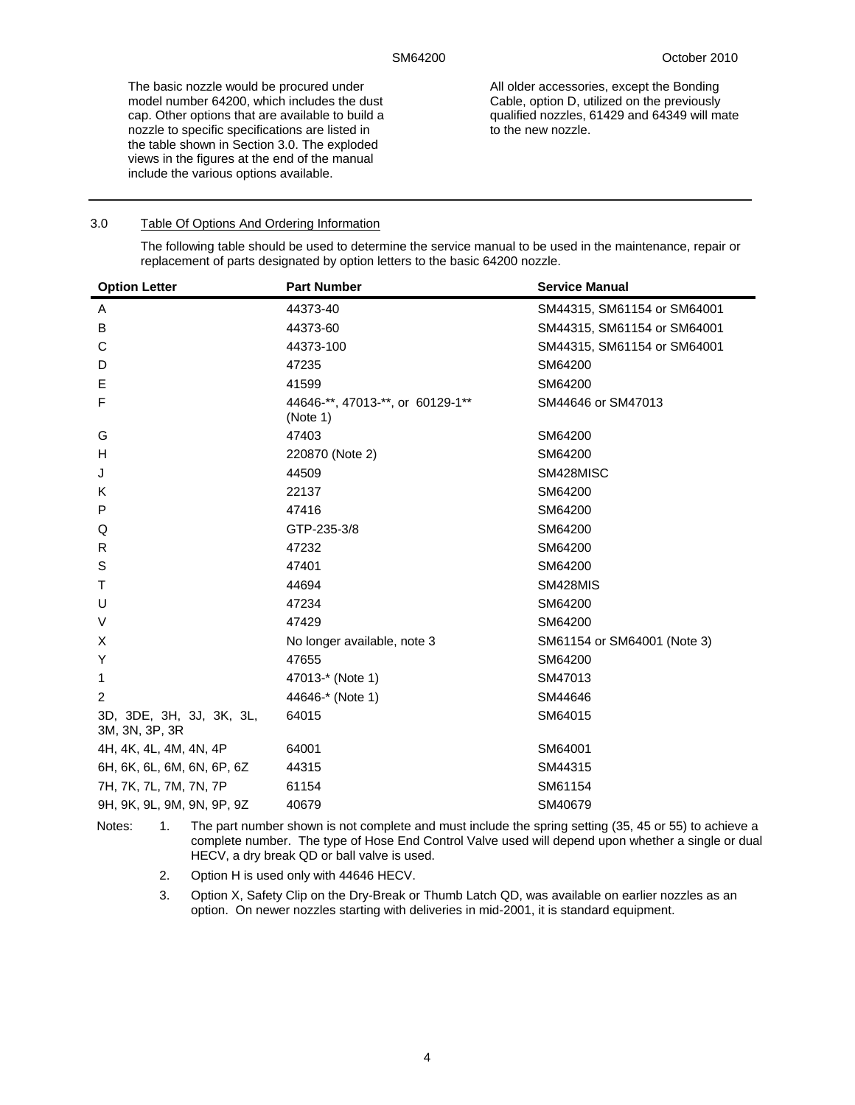The basic nozzle would be procured under model number 64200, which includes the dust cap. Other options that are available to build a nozzle to specific specifications are listed in the table shown in Section 3.0. The exploded views in the figures at the end of the manual include the various options available.

All older accessories, except the Bonding Cable, option D, utilized on the previously qualified nozzles, 61429 and 64349 will mate to the new nozzle.

#### 3.0 Table Of Options And Ordering Information

The following table should be used to determine the service manual to be used in the maintenance, repair or replacement of parts designated by option letters to the basic 64200 nozzle.

| <b>Option Letter</b>                       | <b>Part Number</b>                           | <b>Service Manual</b>       |
|--------------------------------------------|----------------------------------------------|-----------------------------|
| Α                                          | 44373-40                                     | SM44315, SM61154 or SM64001 |
| B                                          | 44373-60                                     | SM44315, SM61154 or SM64001 |
| С                                          | 44373-100                                    | SM44315, SM61154 or SM64001 |
| D                                          | 47235                                        | SM64200                     |
| Е                                          | 41599                                        | SM64200                     |
| F                                          | 44646-**, 47013-**, or 60129-1**<br>(Note 1) | SM44646 or SM47013          |
| G                                          | 47403                                        | SM64200                     |
| н                                          | 220870 (Note 2)                              | SM64200                     |
| J                                          | 44509                                        | SM428MISC                   |
| K                                          | 22137                                        | SM64200                     |
| P                                          | 47416                                        | SM64200                     |
| Q                                          | GTP-235-3/8                                  | SM64200                     |
| R                                          | 47232                                        | SM64200                     |
| S                                          | 47401                                        | SM64200                     |
| Т                                          | 44694                                        | <b>SM428MIS</b>             |
| U                                          | 47234                                        | SM64200                     |
| V                                          | 47429                                        | SM64200                     |
| Х                                          | No longer available, note 3                  | SM61154 or SM64001 (Note 3) |
| Y                                          | 47655                                        | SM64200                     |
| 1                                          | 47013-* (Note 1)                             | SM47013                     |
| 2                                          | 44646-* (Note 1)                             | SM44646                     |
| 3D, 3DE, 3H, 3J, 3K, 3L,<br>3M, 3N, 3P, 3R | 64015                                        | SM64015                     |
| 4H, 4K, 4L, 4M, 4N, 4P                     | 64001                                        | SM64001                     |
| 6H, 6K, 6L, 6M, 6N, 6P, 6Z                 | 44315                                        | SM44315                     |
| 7H, 7K, 7L, 7M, 7N, 7P                     | 61154                                        | SM61154                     |
| 9H, 9K, 9L, 9M, 9N, 9P, 9Z                 | 40679                                        | SM40679                     |

Notes: 1. The part number shown is not complete and must include the spring setting (35, 45 or 55) to achieve a complete number. The type of Hose End Control Valve used will depend upon whether a single or dual HECV, a dry break QD or ball valve is used.

2. Option H is used only with 44646 HECV.

3. Option X, Safety Clip on the Dry-Break or Thumb Latch QD, was available on earlier nozzles as an option. On newer nozzles starting with deliveries in mid-2001, it is standard equipment.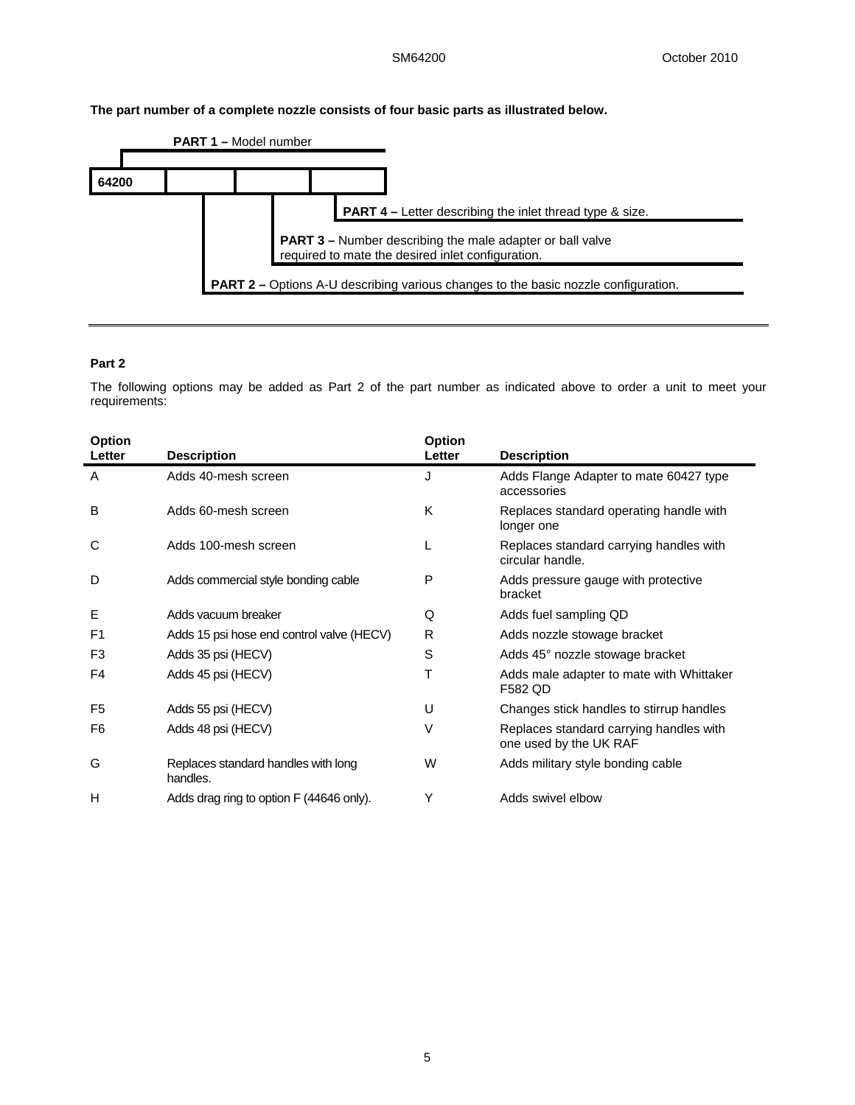**The part number of a complete nozzle consists of four basic parts as illustrated below.** 



# **Part 2**

The following options may be added as Part 2 of the part number as indicated above to order a unit to meet your requirements:

| Option<br>Letter | <b>Description</b>                              | Option<br>Letter | <b>Description</b>                                                |
|------------------|-------------------------------------------------|------------------|-------------------------------------------------------------------|
| Α                | Adds 40-mesh screen                             | J                | Adds Flange Adapter to mate 60427 type<br>accessories             |
| B                | Adds 60-mesh screen                             | K                | Replaces standard operating handle with<br>longer one             |
| С                | Adds 100-mesh screen                            | L                | Replaces standard carrying handles with<br>circular handle.       |
| D                | Adds commercial style bonding cable             | P                | Adds pressure gauge with protective<br>bracket                    |
| Е                | Adds vacuum breaker                             | Q                | Adds fuel sampling QD                                             |
| F <sub>1</sub>   | Adds 15 psi hose end control valve (HECV)       | R                | Adds nozzle stowage bracket                                       |
| F <sub>3</sub>   | Adds 35 psi (HECV)                              | S                | Adds 45° nozzle stowage bracket                                   |
| F4               | Adds 45 psi (HECV)                              | т                | Adds male adapter to mate with Whittaker<br>F582 QD               |
| F <sub>5</sub>   | Adds 55 psi (HECV)                              | U                | Changes stick handles to stirrup handles                          |
| F6               | Adds 48 psi (HECV)                              | V                | Replaces standard carrying handles with<br>one used by the UK RAF |
| G                | Replaces standard handles with long<br>handles. | W                | Adds military style bonding cable                                 |
| н                | Adds drag ring to option F (44646 only).        | Υ                | Adds swivel elbow                                                 |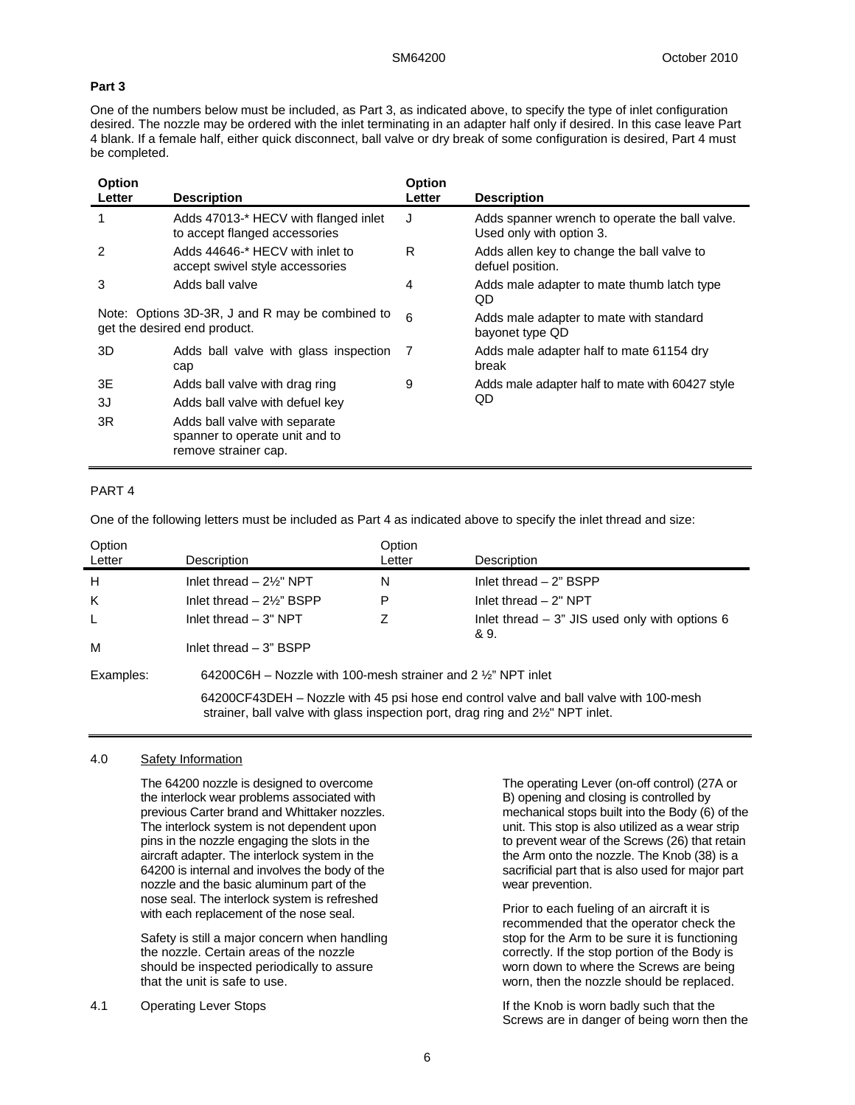#### **Part 3**

One of the numbers below must be included, as Part 3, as indicated above, to specify the type of inlet configuration desired. The nozzle may be ordered with the inlet terminating in an adapter half only if desired. In this case leave Part 4 blank. If a female half, either quick disconnect, ball valve or dry break of some configuration is desired, Part 4 must be completed.

| Option<br>Letter                                                                | <b>Description</b>                                                                      | <b>Option</b><br>Letter | <b>Description</b>                                                         |  |
|---------------------------------------------------------------------------------|-----------------------------------------------------------------------------------------|-------------------------|----------------------------------------------------------------------------|--|
| 1                                                                               | Adds 47013-* HECV with flanged inlet<br>to accept flanged accessories                   | J                       | Adds spanner wrench to operate the ball valve.<br>Used only with option 3. |  |
| 2                                                                               | Adds 44646-* HECV with inlet to<br>accept swivel style accessories                      | R                       | Adds allen key to change the ball valve to<br>defuel position.             |  |
| 3                                                                               | Adds ball valve                                                                         | 4                       | Adds male adapter to mate thumb latch type<br>QD                           |  |
| Note: Options 3D-3R, J and R may be combined to<br>get the desired end product. |                                                                                         | 6                       | Adds male adapter to mate with standard<br>bayonet type QD                 |  |
| 3D                                                                              | Adds ball valve with glass inspection 7<br>cap                                          |                         | Adds male adapter half to mate 61154 dry<br>break                          |  |
| 3E                                                                              | Adds ball valve with drag ring                                                          | 9                       | Adds male adapter half to mate with 60427 style                            |  |
| 3J                                                                              | Adds ball valve with defuel key                                                         |                         | QD                                                                         |  |
| 3R                                                                              | Adds ball valve with separate<br>spanner to operate unit and to<br>remove strainer cap. |                         |                                                                            |  |

#### PART 4

One of the following letters must be included as Part 4 as indicated above to specify the inlet thread and size:

| Option<br>Letter | Description                                                                                                                                                            | Option<br>Letter | Description                                              |
|------------------|------------------------------------------------------------------------------------------------------------------------------------------------------------------------|------------------|----------------------------------------------------------|
| H                | Inlet thread $-2\frac{1}{2}$ NPT                                                                                                                                       | N                | Inlet thread $-2$ " BSPP                                 |
| K                | Inlet thread $-2\frac{1}{2}$ BSPP                                                                                                                                      | P                | Inlet thread $-2"$ NPT                                   |
| L.               | Inlet thread $-3"$ NPT                                                                                                                                                 |                  | Inlet thread $-3$ " JIS used only with options 6<br>& 9. |
| м                | Inlet thread $-3$ " BSPP                                                                                                                                               |                  |                                                          |
| Examples:        | 64200C6H – Nozzle with 100-mesh strainer and 2 $\frac{1}{2}$ NPT inlet                                                                                                 |                  |                                                          |
|                  | 64200CF43DEH – Nozzle with 45 psi hose end control valve and ball valve with 100-mesh<br>strainer, ball valve with glass inspection port, drag ring and 2½" NPT inlet. |                  |                                                          |

#### 4.0 Safety Information

The 64200 nozzle is designed to overcome the interlock wear problems associated with previous Carter brand and Whittaker nozzles. The interlock system is not dependent upon pins in the nozzle engaging the slots in the aircraft adapter. The interlock system in the 64200 is internal and involves the body of the nozzle and the basic aluminum part of the nose seal. The interlock system is refreshed with each replacement of the nose seal.

Safety is still a major concern when handling the nozzle. Certain areas of the nozzle should be inspected periodically to assure that the unit is safe to use.

4.1 Operating Lever Stops

The operating Lever (on-off control) (27A or B) opening and closing is controlled by mechanical stops built into the Body (6) of the unit. This stop is also utilized as a wear strip to prevent wear of the Screws (26) that retain the Arm onto the nozzle. The Knob (38) is a sacrificial part that is also used for major part wear prevention.

Prior to each fueling of an aircraft it is recommended that the operator check the stop for the Arm to be sure it is functioning correctly. If the stop portion of the Body is worn down to where the Screws are being worn, then the nozzle should be replaced.

If the Knob is worn badly such that the Screws are in danger of being worn then the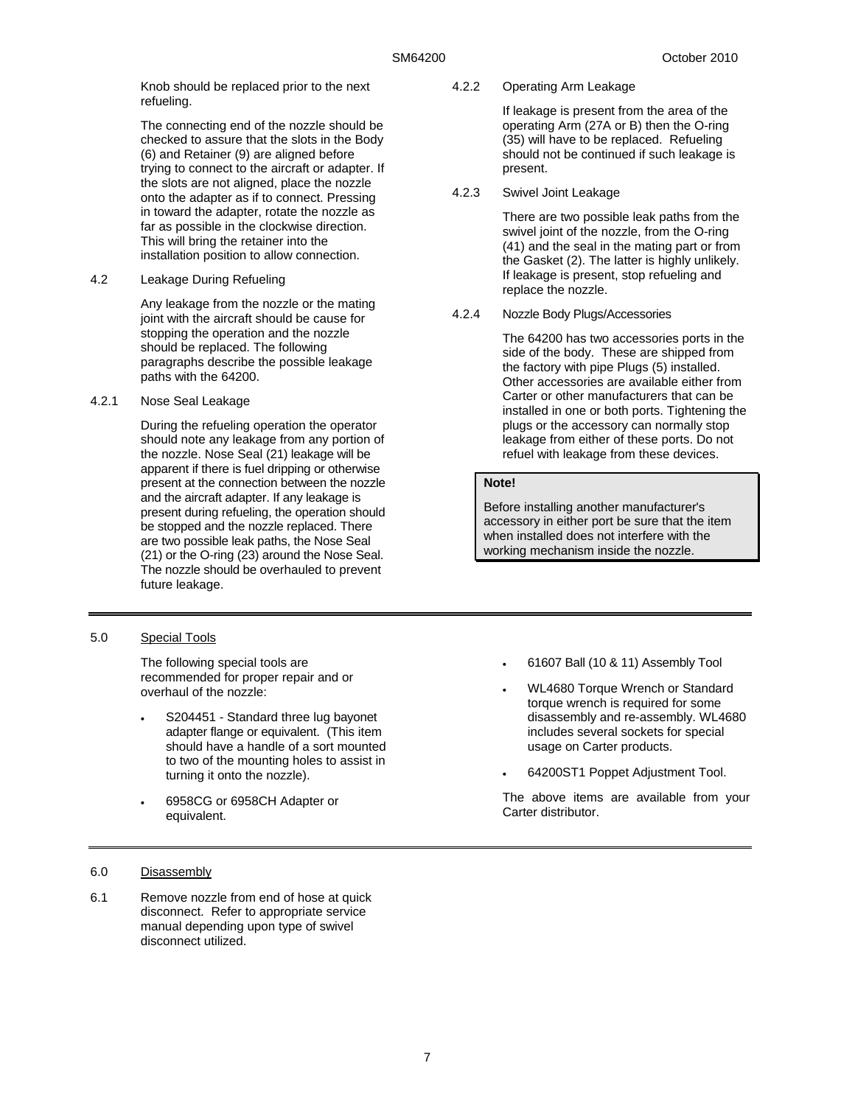Knob should be replaced prior to the next refueling.

The connecting end of the nozzle should be checked to assure that the slots in the Body (6) and Retainer (9) are aligned before trying to connect to the aircraft or adapter. If the slots are not aligned, place the nozzle onto the adapter as if to connect. Pressing in toward the adapter, rotate the nozzle as far as possible in the clockwise direction. This will bring the retainer into the installation position to allow connection.

4.2 Leakage During Refueling

Any leakage from the nozzle or the mating joint with the aircraft should be cause for stopping the operation and the nozzle should be replaced. The following paragraphs describe the possible leakage paths with the 64200.

4.2.1 Nose Seal Leakage

During the refueling operation the operator should note any leakage from any portion of the nozzle. Nose Seal (21) leakage will be apparent if there is fuel dripping or otherwise present at the connection between the nozzle and the aircraft adapter. If any leakage is present during refueling, the operation should be stopped and the nozzle replaced. There are two possible leak paths, the Nose Seal (21) or the O-ring (23) around the Nose Seal. The nozzle should be overhauled to prevent future leakage.

### 5.0 Special Tools

The following special tools are recommended for proper repair and or overhaul of the nozzle:

- S204451 Standard three lug bayonet adapter flange or equivalent. (This item should have a handle of a sort mounted to two of the mounting holes to assist in turning it onto the nozzle).
- 6958CG or 6958CH Adapter or equivalent.

# 6.0 Disassembly

6.1 Remove nozzle from end of hose at quick disconnect. Refer to appropriate service manual depending upon type of swivel disconnect utilized.

4.2.2 Operating Arm Leakage

If leakage is present from the area of the operating Arm (27A or B) then the O-ring (35) will have to be replaced. Refueling should not be continued if such leakage is present.

4.2.3 Swivel Joint Leakage

There are two possible leak paths from the swivel joint of the nozzle, from the O-ring (41) and the seal in the mating part or from the Gasket (2). The latter is highly unlikely. If leakage is present, stop refueling and replace the nozzle.

4.2.4 Nozzle Body Plugs/Accessories

The 64200 has two accessories ports in the side of the body. These are shipped from the factory with pipe Plugs (5) installed. Other accessories are available either from Carter or other manufacturers that can be installed in one or both ports. Tightening the plugs or the accessory can normally stop leakage from either of these ports. Do not refuel with leakage from these devices.

# **Note!**

Before installing another manufacturer's accessory in either port be sure that the item when installed does not interfere with the working mechanism inside the nozzle.

- 61607 Ball (10 & 11) Assembly Tool
- WL4680 Torque Wrench or Standard torque wrench is required for some disassembly and re-assembly. WL4680 includes several sockets for special usage on Carter products.
- 64200ST1 Poppet Adjustment Tool.

The above items are available from your Carter distributor.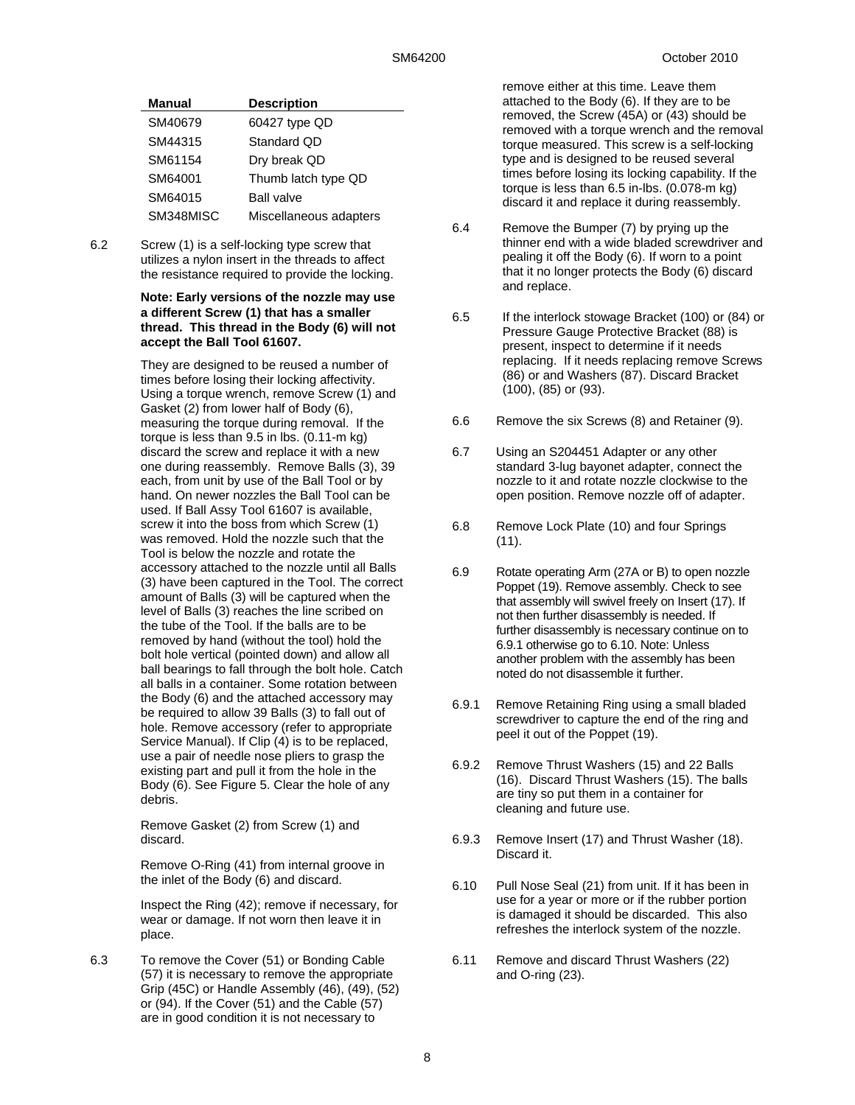| <b>Manual</b> | <b>Description</b>     |
|---------------|------------------------|
| SM40679       | 60427 type QD          |
| SM44315       | Standard QD            |
| SM61154       | Dry break QD           |
| SM64001       | Thumb latch type QD    |
| SM64015       | <b>Ball valve</b>      |
| SM348MISC     | Miscellaneous adapters |

6.2 Screw (1) is a self-locking type screw that utilizes a nylon insert in the threads to affect the resistance required to provide the locking.

#### **Note: Early versions of the nozzle may use a different Screw (1) that has a smaller thread. This thread in the Body (6) will not accept the Ball Tool 61607.**

They are designed to be reused a number of times before losing their locking affectivity. Using a torque wrench, remove Screw (1) and Gasket (2) from lower half of Body (6), measuring the torque during removal. If the torque is less than 9.5 in lbs. (0.11-m kg) discard the screw and replace it with a new one during reassembly. Remove Balls (3), 39 each, from unit by use of the Ball Tool or by hand. On newer nozzles the Ball Tool can be used. If Ball Assy Tool 61607 is available, screw it into the boss from which Screw (1) was removed. Hold the nozzle such that the Tool is below the nozzle and rotate the accessory attached to the nozzle until all Balls (3) have been captured in the Tool. The correct amount of Balls (3) will be captured when the level of Balls (3) reaches the line scribed on the tube of the Tool. If the balls are to be removed by hand (without the tool) hold the bolt hole vertical (pointed down) and allow all ball bearings to fall through the bolt hole. Catch all balls in a container. Some rotation between the Body (6) and the attached accessory may be required to allow 39 Balls (3) to fall out of hole. Remove accessory (refer to appropriate Service Manual). If Clip (4) is to be replaced, use a pair of needle nose pliers to grasp the existing part and pull it from the hole in the Body (6). See Figure 5. Clear the hole of any debris.

Remove Gasket (2) from Screw (1) and discard.

Remove O-Ring (41) from internal groove in the inlet of the Body (6) and discard.

Inspect the Ring (42); remove if necessary, for wear or damage. If not worn then leave it in place.

6.3 To remove the Cover (51) or Bonding Cable (57) it is necessary to remove the appropriate Grip (45C) or Handle Assembly (46), (49), (52) or (94). If the Cover (51) and the Cable (57) are in good condition it is not necessary to

remove either at this time. Leave them attached to the Body (6). If they are to be removed, the Screw (45A) or (43) should be removed with a torque wrench and the removal torque measured. This screw is a self-locking type and is designed to be reused several times before losing its locking capability. If the torque is less than 6.5 in-lbs. (0.078-m kg) discard it and replace it during reassembly.

- 6.4 Remove the Bumper (7) by prying up the thinner end with a wide bladed screwdriver and pealing it off the Body (6). If worn to a point that it no longer protects the Body (6) discard and replace.
- 6.5 If the interlock stowage Bracket (100) or (84) or Pressure Gauge Protective Bracket (88) is present, inspect to determine if it needs replacing. If it needs replacing remove Screws (86) or and Washers (87). Discard Bracket (100), (85) or (93).
- 6.6 Remove the six Screws (8) and Retainer (9).
- 6.7 Using an S204451 Adapter or any other standard 3-lug bayonet adapter, connect the nozzle to it and rotate nozzle clockwise to the open position. Remove nozzle off of adapter.
- 6.8 Remove Lock Plate (10) and four Springs (11).
- 6.9 Rotate operating Arm (27A or B) to open nozzle Poppet (19). Remove assembly. Check to see that assembly will swivel freely on Insert (17). If not then further disassembly is needed. If further disassembly is necessary continue on to 6.9.1 otherwise go to 6.10. Note: Unless another problem with the assembly has been noted do not disassemble it further.
- 6.9.1 Remove Retaining Ring using a small bladed screwdriver to capture the end of the ring and peel it out of the Poppet (19).
- 6.9.2 Remove Thrust Washers (15) and 22 Balls (16). Discard Thrust Washers (15). The balls are tiny so put them in a container for cleaning and future use.
- 6.9.3 Remove Insert (17) and Thrust Washer (18). Discard it.
- 6.10 Pull Nose Seal (21) from unit. If it has been in use for a year or more or if the rubber portion is damaged it should be discarded. This also refreshes the interlock system of the nozzle.
- 6.11 Remove and discard Thrust Washers (22) and O-ring (23).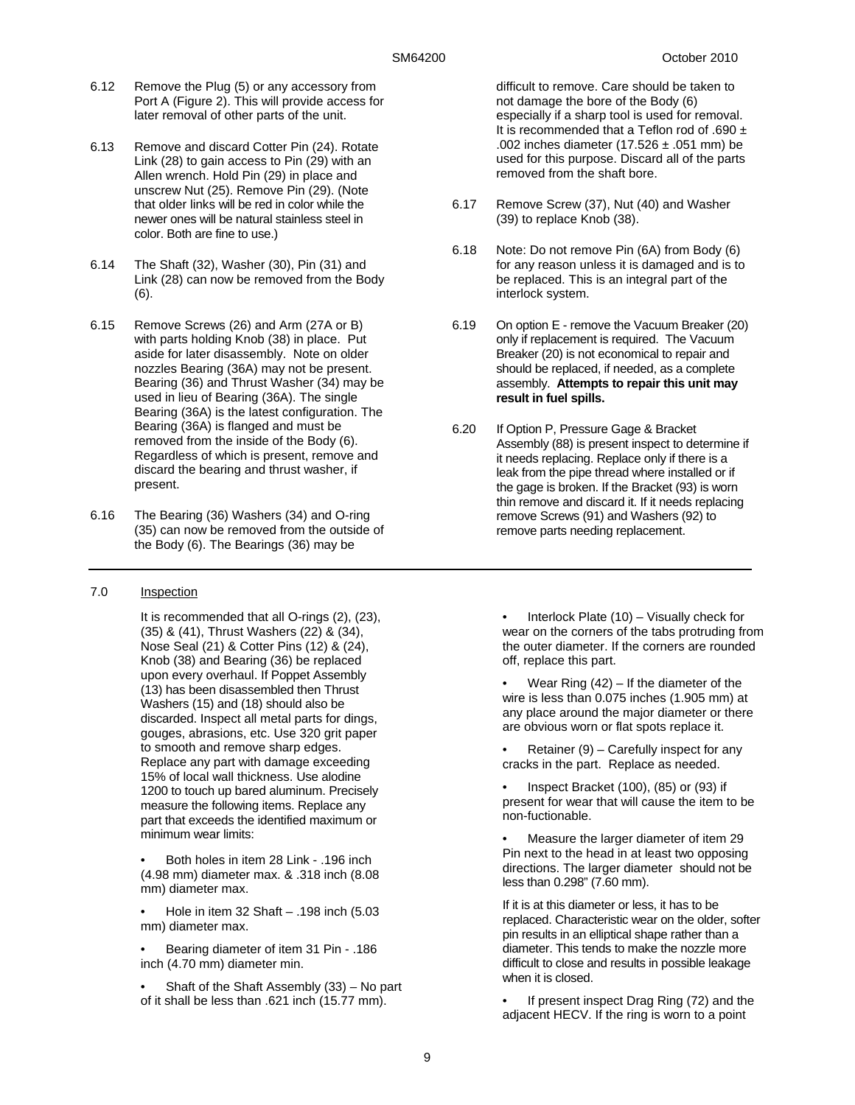- 6.12 Remove the Plug (5) or any accessory from Port A (Figure 2). This will provide access for later removal of other parts of the unit.
- 6.13 Remove and discard Cotter Pin (24). Rotate Link (28) to gain access to Pin (29) with an Allen wrench. Hold Pin (29) in place and unscrew Nut (25). Remove Pin (29). (Note that older links will be red in color while the newer ones will be natural stainless steel in color. Both are fine to use.)
- 6.14 The Shaft (32), Washer (30), Pin (31) and Link (28) can now be removed from the Body (6).
- 6.15 Remove Screws (26) and Arm (27A or B) with parts holding Knob (38) in place. Put aside for later disassembly. Note on older nozzles Bearing (36A) may not be present. Bearing (36) and Thrust Washer (34) may be used in lieu of Bearing (36A). The single Bearing (36A) is the latest configuration. The Bearing (36A) is flanged and must be removed from the inside of the Body (6). Regardless of which is present, remove and discard the bearing and thrust washer, if present.
- 6.16 The Bearing (36) Washers (34) and O-ring (35) can now be removed from the outside of the Body (6). The Bearings (36) may be

#### 7.0 Inspection

It is recommended that all O-rings (2), (23), (35) & (41), Thrust Washers (22) & (34), Nose Seal (21) & Cotter Pins (12) & (24), Knob (38) and Bearing (36) be replaced upon every overhaul. If Poppet Assembly (13) has been disassembled then Thrust Washers (15) and (18) should also be discarded. Inspect all metal parts for dings, gouges, abrasions, etc. Use 320 grit paper to smooth and remove sharp edges. Replace any part with damage exceeding 15% of local wall thickness. Use alodine 1200 to touch up bared aluminum. Precisely measure the following items. Replace any part that exceeds the identified maximum or minimum wear limits:

• Both holes in item 28 Link - .196 inch (4.98 mm) diameter max. & .318 inch (8.08 mm) diameter max.

• Hole in item 32 Shaft – .198 inch (5.03 mm) diameter max.

• Bearing diameter of item 31 Pin - .186 inch (4.70 mm) diameter min.

• Shaft of the Shaft Assembly (33) – No part of it shall be less than .621 inch (15.77 mm).

difficult to remove. Care should be taken to not damage the bore of the Body (6) especially if a sharp tool is used for removal. It is recommended that a Teflon rod of .690 ± .002 inches diameter (17.526  $\pm$  .051 mm) be used for this purpose. Discard all of the parts removed from the shaft bore.

- 6.17 Remove Screw (37), Nut (40) and Washer (39) to replace Knob (38).
- 6.18 Note: Do not remove Pin (6A) from Body (6) for any reason unless it is damaged and is to be replaced. This is an integral part of the interlock system.
- 6.19 On option E remove the Vacuum Breaker (20) only if replacement is required. The Vacuum Breaker (20) is not economical to repair and should be replaced, if needed, as a complete assembly. **Attempts to repair this unit may result in fuel spills.**
- 6.20 If Option P, Pressure Gage & Bracket Assembly (88) is present inspect to determine if it needs replacing. Replace only if there is a leak from the pipe thread where installed or if the gage is broken. If the Bracket (93) is worn thin remove and discard it. If it needs replacing remove Screws (91) and Washers (92) to remove parts needing replacement.

Interlock Plate  $(10)$  – Visually check for wear on the corners of the tabs protruding from the outer diameter. If the corners are rounded off, replace this part.

Wear Ring  $(42)$  – If the diameter of the wire is less than 0.075 inches (1.905 mm) at any place around the major diameter or there are obvious worn or flat spots replace it.

Retainer  $(9)$  – Carefully inspect for any cracks in the part. Replace as needed.

• Inspect Bracket (100), (85) or (93) if present for wear that will cause the item to be non-fuctionable.

• Measure the larger diameter of item 29 Pin next to the head in at least two opposing directions. The larger diameter should not be less than 0.298" (7.60 mm).

If it is at this diameter or less, it has to be replaced. Characteristic wear on the older, softer pin results in an elliptical shape rather than a diameter. This tends to make the nozzle more difficult to close and results in possible leakage when it is closed.

If present inspect Drag Ring (72) and the adjacent HECV. If the ring is worn to a point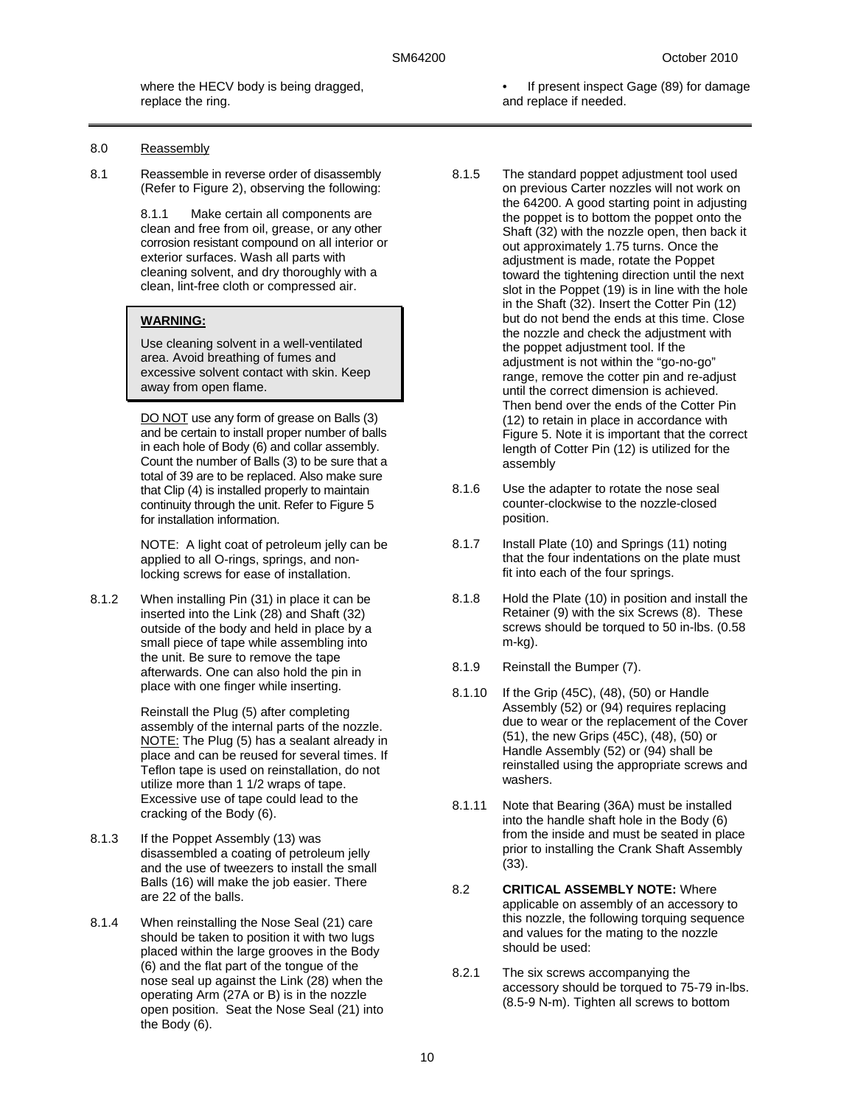where the HECV body is being dragged, replace the ring.

- 8.0 Reassembly
- 8.1 Reassemble in reverse order of disassembly (Refer to Figure 2), observing the following:

8.1.1 Make certain all components are clean and free from oil, grease, or any other corrosion resistant compound on all interior or exterior surfaces. Wash all parts with cleaning solvent, and dry thoroughly with a clean, lint-free cloth or compressed air.

#### **WARNING:**

Use cleaning solvent in a well-ventilated area. Avoid breathing of fumes and excessive solvent contact with skin. Keep away from open flame.

DO NOT use any form of grease on Balls (3) and be certain to install proper number of balls in each hole of Body (6) and collar assembly. Count the number of Balls (3) to be sure that a total of 39 are to be replaced. Also make sure that Clip (4) is installed properly to maintain continuity through the unit. Refer to Figure 5 for installation information.

NOTE: A light coat of petroleum jelly can be applied to all O-rings, springs, and nonlocking screws for ease of installation.

8.1.2 When installing Pin (31) in place it can be inserted into the Link (28) and Shaft (32) outside of the body and held in place by a small piece of tape while assembling into the unit. Be sure to remove the tape afterwards. One can also hold the pin in place with one finger while inserting.

> Reinstall the Plug (5) after completing assembly of the internal parts of the nozzle. NOTE: The Plug (5) has a sealant already in place and can be reused for several times. If Teflon tape is used on reinstallation, do not utilize more than 1 1/2 wraps of tape. Excessive use of tape could lead to the cracking of the Body (6).

- 8.1.3 If the Poppet Assembly (13) was disassembled a coating of petroleum jelly and the use of tweezers to install the small Balls (16) will make the job easier. There are 22 of the balls.
- 8.1.4 When reinstalling the Nose Seal (21) care should be taken to position it with two lugs placed within the large grooves in the Body (6) and the flat part of the tongue of the nose seal up against the Link (28) when the operating Arm (27A or B) is in the nozzle open position. Seat the Nose Seal (21) into the Body (6).
- If present inspect Gage (89) for damage and replace if needed.
- 8.1.5 The standard poppet adjustment tool used on previous Carter nozzles will not work on the 64200. A good starting point in adjusting the poppet is to bottom the poppet onto the Shaft (32) with the nozzle open, then back it out approximately 1.75 turns. Once the adjustment is made, rotate the Poppet toward the tightening direction until the next slot in the Poppet (19) is in line with the hole in the Shaft (32). Insert the Cotter Pin (12) but do not bend the ends at this time. Close the nozzle and check the adjustment with the poppet adjustment tool. If the adjustment is not within the "go-no-go" range, remove the cotter pin and re-adjust until the correct dimension is achieved. Then bend over the ends of the Cotter Pin (12) to retain in place in accordance with Figure 5. Note it is important that the correct length of Cotter Pin (12) is utilized for the assembly
- 8.1.6 Use the adapter to rotate the nose seal counter-clockwise to the nozzle-closed position.
- 8.1.7 Install Plate (10) and Springs (11) noting that the four indentations on the plate must fit into each of the four springs.
- 8.1.8 Hold the Plate (10) in position and install the Retainer (9) with the six Screws (8). These screws should be torqued to 50 in-lbs. (0.58 m-kg).
- 8.1.9 Reinstall the Bumper (7).
- 8.1.10 If the Grip (45C), (48), (50) or Handle Assembly (52) or (94) requires replacing due to wear or the replacement of the Cover (51), the new Grips (45C), (48), (50) or Handle Assembly (52) or (94) shall be reinstalled using the appropriate screws and washers.
- 8.1.11 Note that Bearing (36A) must be installed into the handle shaft hole in the Body (6) from the inside and must be seated in place prior to installing the Crank Shaft Assembly (33).
- 8.2 **CRITICAL ASSEMBLY NOTE:** Where applicable on assembly of an accessory to this nozzle, the following torquing sequence and values for the mating to the nozzle should be used:
- 8.2.1 The six screws accompanying the accessory should be torqued to 75-79 in-lbs. (8.5-9 N-m). Tighten all screws to bottom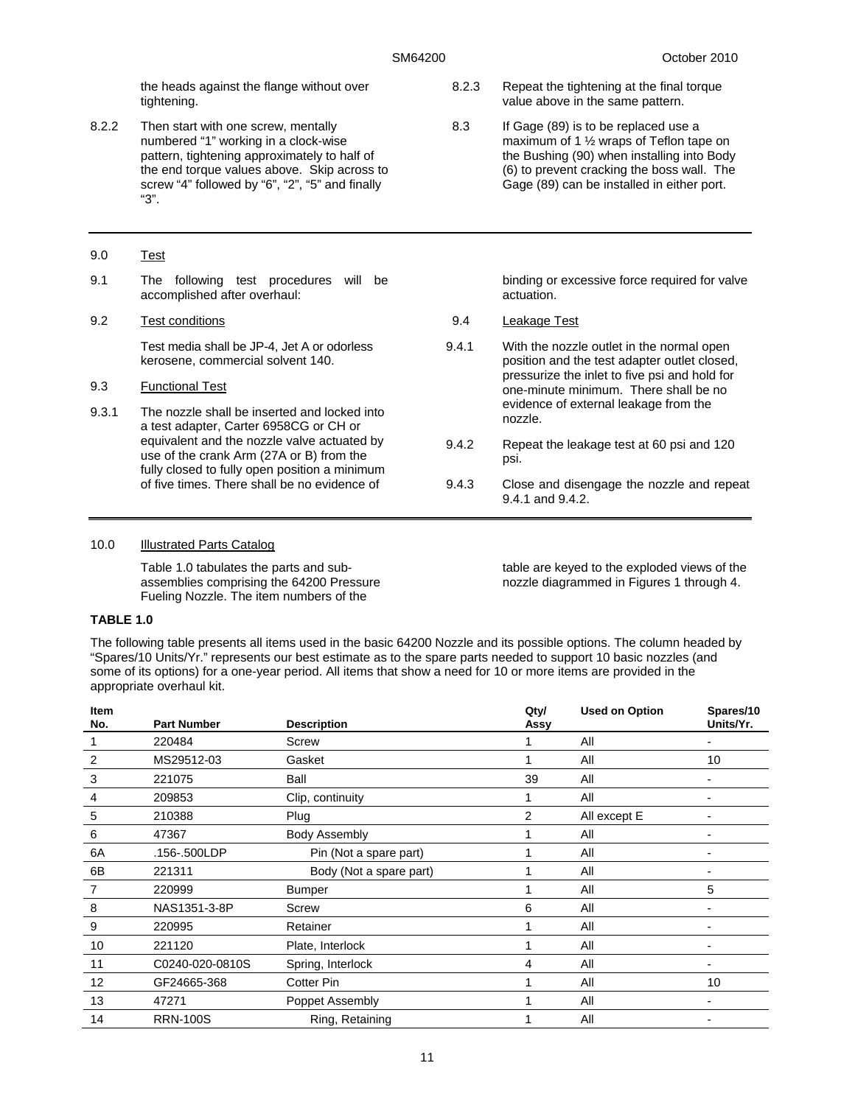the heads against the flange without over tightening.

8.2.2 Then start with one screw, mentally numbered "1" working in a clock-wise pattern, tightening approximately to half of the end torque values above. Skip across to screw "4" followed by "6", "2", "5" and finally "3".

#### 9.0 Test

9.1 The following test procedures will be accomplished after overhaul:

#### 9.2 Test conditions

Test media shall be JP-4, Jet A or odorless kerosene, commercial solvent 140.

#### 9.3 Functional Test

9.3.1 The nozzle shall be inserted and locked into a test adapter, Carter 6958CG or CH or equivalent and the nozzle valve actuated by use of the crank Arm (27A or B) from the fully closed to fully open position a minimum of five times. There shall be no evidence of

#### 8.2.3 Repeat the tightening at the final torque value above in the same pattern.

8.3 If Gage (89) is to be replaced use a maximum of 1 ½ wraps of Teflon tape on the Bushing (90) when installing into Body (6) to prevent cracking the boss wall. The Gage (89) can be installed in either port.

> binding or excessive force required for valve actuation.

- 9.4 Leakage Test
- 9.4.1 With the nozzle outlet in the normal open position and the test adapter outlet closed, pressurize the inlet to five psi and hold for one-minute minimum. There shall be no evidence of external leakage from the nozzle.
- 9.4.2 Repeat the leakage test at 60 psi and 120 psi.
- 9.4.3 Close and disengage the nozzle and repeat 9.4.1 and 9.4.2.

#### 10.0 Illustrated Parts Catalog

Table 1.0 tabulates the parts and subassemblies comprising the 64200 Pressure Fueling Nozzle. The item numbers of the

table are keyed to the exploded views of the nozzle diagrammed in Figures 1 through 4.

#### **TABLE 1.0**

The following table presents all items used in the basic 64200 Nozzle and its possible options. The column headed by "Spares/10 Units/Yr." represents our best estimate as to the spare parts needed to support 10 basic nozzles (and some of its options) for a one-year period. All items that show a need for 10 or more items are provided in the appropriate overhaul kit.

| <b>Item</b> |                    |                         | Qty/ | <b>Used on Option</b> | Spares/10 |
|-------------|--------------------|-------------------------|------|-----------------------|-----------|
| No.         | <b>Part Number</b> | <b>Description</b>      | Assy |                       | Units/Yr. |
|             | 220484             | Screw                   |      | All                   |           |
| 2           | MS29512-03         | Gasket                  |      | All                   | 10        |
| 3           | 221075             | Ball                    | 39   | All                   |           |
| 4           | 209853             | Clip, continuity        |      | All                   |           |
| 5           | 210388             | Plug                    | 2    | All except E          |           |
| 6           | 47367              | <b>Body Assembly</b>    |      | All                   |           |
| 6A          | .156-.500LDP       | Pin (Not a spare part)  |      | All                   |           |
| 6B          | 221311             | Body (Not a spare part) |      | All                   |           |
|             | 220999             | <b>Bumper</b>           |      | All                   | 5         |
| 8           | NAS1351-3-8P       | Screw                   | 6    | All                   |           |
| 9           | 220995             | Retainer                |      | All                   |           |
| 10          | 221120             | Plate, Interlock        |      | All                   |           |
| 11          | C0240-020-0810S    | Spring, Interlock       | 4    | All                   |           |
| 12          | GF24665-368        | <b>Cotter Pin</b>       |      | All                   | 10        |
| 13          | 47271              | Poppet Assembly         |      | All                   |           |
| 14          | <b>RRN-100S</b>    | Ring, Retaining         |      | All                   |           |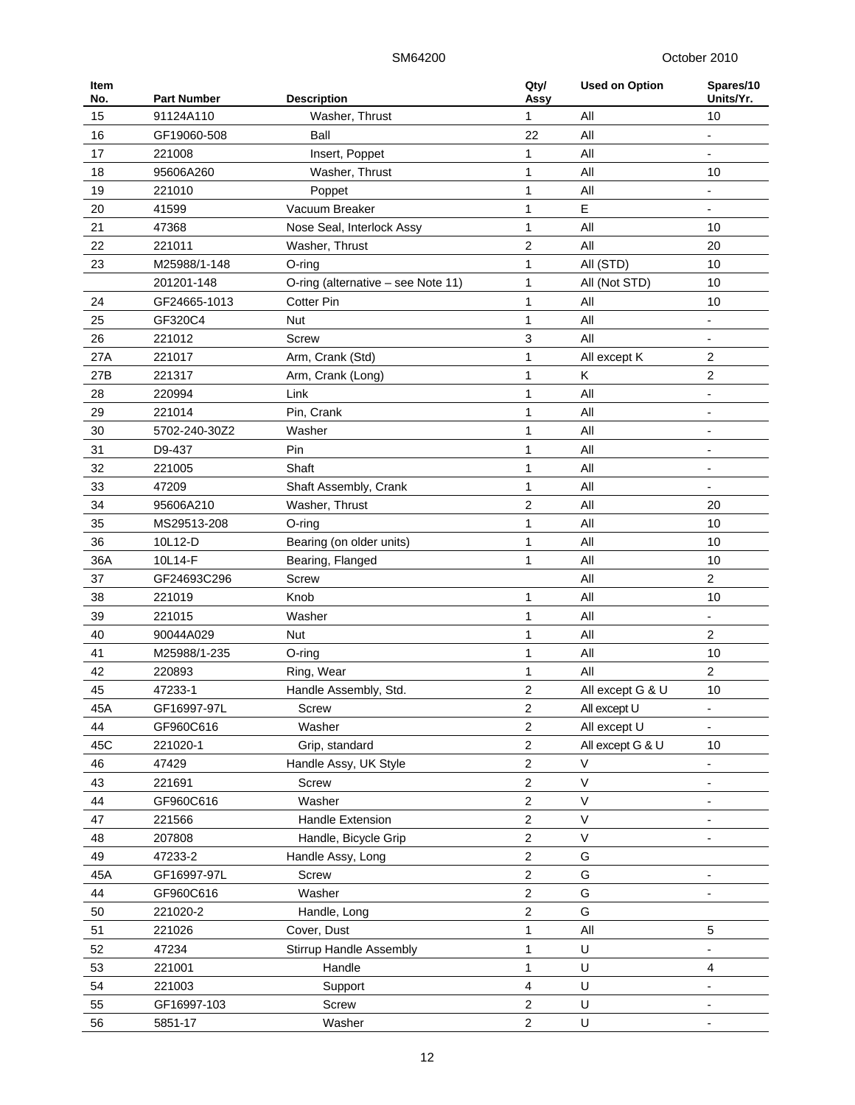| Item<br>No. | <b>Part Number</b> | <b>Description</b>                 | Qty/<br>Assy            | <b>Used on Option</b> | Spares/10<br>Units/Yr.   |
|-------------|--------------------|------------------------------------|-------------------------|-----------------------|--------------------------|
| 15          | 91124A110          | Washer, Thrust                     | 1                       | All                   | 10                       |
| 16          | GF19060-508        | Ball                               | 22                      | All                   | $\overline{a}$           |
| 17          | 221008             | Insert, Poppet                     | 1                       | All                   |                          |
| 18          | 95606A260          | Washer, Thrust                     | 1                       | All                   | 10                       |
| 19          | 221010             | Poppet                             | 1                       | All                   |                          |
| 20          | 41599              | Vacuum Breaker                     | 1                       | Ε                     |                          |
| 21          | 47368              | Nose Seal, Interlock Assy          | 1                       | All                   | 10                       |
| 22          | 221011             | Washer, Thrust                     | $\overline{2}$          | All                   | 20                       |
| 23          | M25988/1-148       | $O$ -ring                          | 1                       | All (STD)             | 10                       |
|             | 201201-148         | O-ring (alternative - see Note 11) | $\mathbf 1$             | All (Not STD)         | 10                       |
| 24          | GF24665-1013       | <b>Cotter Pin</b>                  | 1                       | All                   | 10                       |
| 25          | GF320C4            | Nut                                | 1                       | All                   |                          |
| 26          | 221012             | <b>Screw</b>                       | 3                       | All                   |                          |
| 27A         | 221017             | Arm, Crank (Std)                   | $\mathbf 1$             | All except K          | $\overline{\mathbf{c}}$  |
| 27B         | 221317             |                                    | 1                       | K.                    | 2                        |
|             | 220994             | Arm, Crank (Long)                  |                         | All                   |                          |
| 28          |                    | Link                               | 1                       |                       | $\overline{\phantom{0}}$ |
| 29          | 221014             | Pin, Crank                         | 1                       | All                   |                          |
| 30          | 5702-240-30Z2      | Washer                             | 1                       | All                   |                          |
| 31          | D9-437             | Pin                                | $\mathbf{1}$            | All                   |                          |
| 32          | 221005             | Shaft                              | 1                       | All                   | $\overline{\phantom{0}}$ |
| 33          | 47209              | Shaft Assembly, Crank              | 1                       | All                   | $\overline{\phantom{0}}$ |
| 34          | 95606A210          | Washer, Thrust                     | $\overline{2}$          | All                   | 20                       |
| 35          | MS29513-208        | O-ring                             | $\mathbf 1$             | All                   | 10                       |
| 36          | 10L12-D            | Bearing (on older units)           | 1                       | All                   | 10                       |
| 36A         | 10L14-F            | Bearing, Flanged                   | 1                       | All                   | 10                       |
| 37          | GF24693C296        | <b>Screw</b>                       |                         | All                   | $\overline{c}$           |
| 38          | 221019             | Knob                               | 1                       | All                   | 10                       |
| 39          | 221015             | Washer                             | 1                       | All                   |                          |
| 40          | 90044A029          | <b>Nut</b>                         | 1                       | All                   | $\boldsymbol{2}$         |
| 41          | M25988/1-235       | $O$ -ring                          | 1                       | All                   | 10                       |
| 42          | 220893             | Ring, Wear                         | 1                       | All                   | 2                        |
| 45          | 47233-1            | Handle Assembly, Std.              | 2                       | All except G & U      | 10                       |
| 45A         | GF16997-97L        | Screw                              | $\overline{\mathbf{c}}$ | All except U          |                          |
| 44          | GF960C616          | Washer                             | 2                       | All except U          |                          |
| 45C         | 221020-1           | Grip, standard                     | $\boldsymbol{2}$        | All except G & U      | 10                       |
| 46          | 47429              | Handle Assy, UK Style              | $\overline{c}$          | $\vee$                |                          |
| 43          | 221691             | Screw                              | 2                       | $\vee$                |                          |
| 44          | GF960C616          | Washer                             | $\overline{c}$          | $\vee$                |                          |
| 47          | 221566             | Handle Extension                   | $\boldsymbol{2}$        | V                     |                          |
| 48          | 207808             | Handle, Bicycle Grip               | $\boldsymbol{2}$        | V                     |                          |
| 49          | 47233-2            | Handle Assy, Long                  | 2                       | G                     |                          |
| 45A         | GF16997-97L        | Screw                              | $\overline{2}$          | G                     |                          |
| 44          | GF960C616          | Washer                             | $\boldsymbol{2}$        | G                     |                          |
| 50          | 221020-2           | Handle, Long                       | $\boldsymbol{2}$        | G                     |                          |
| 51          | 221026             | Cover, Dust                        | 1                       | All                   | 5                        |
| 52          | 47234              | <b>Stirrup Handle Assembly</b>     | 1                       | U                     |                          |
| 53          | 221001             | Handle                             | $\mathbf{1}$            | U                     | 4                        |
| 54          | 221003             | Support                            | 4                       | U                     |                          |
| 55          | GF16997-103        | Screw                              | $\overline{\mathbf{c}}$ | U                     |                          |
|             |                    |                                    | $\boldsymbol{2}$        | U                     |                          |
| 56          | 5851-17            | Washer                             |                         |                       |                          |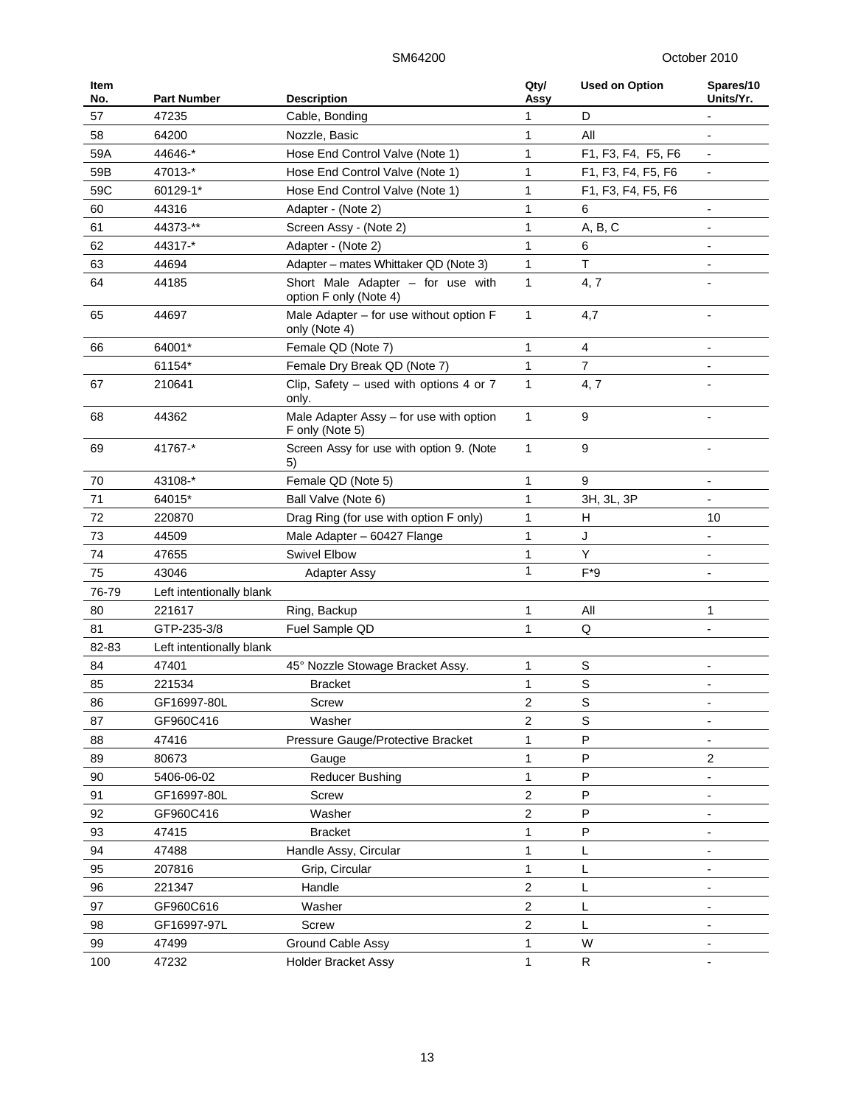| Item<br>No. | <b>Part Number</b>       | <b>Description</b>                                          | Qty/<br>Assy     | <b>Used on Option</b> | Spares/10<br>Units/Yr.       |
|-------------|--------------------------|-------------------------------------------------------------|------------------|-----------------------|------------------------------|
| 57          | 47235                    | Cable, Bonding                                              | 1                | D                     | $\qquad \qquad \blacksquare$ |
| 58          | 64200                    | Nozzle, Basic                                               | 1                | All                   | ÷                            |
| 59A         | 44646-*                  | Hose End Control Valve (Note 1)                             | 1                | F1, F3, F4, F5, F6    |                              |
| 59B         | 47013-*                  | Hose End Control Valve (Note 1)                             | $\mathbf{1}$     | F1, F3, F4, F5, F6    |                              |
| 59C         | 60129-1*                 | Hose End Control Valve (Note 1)                             | $\mathbf{1}$     | F1, F3, F4, F5, F6    |                              |
| 60          | 44316                    | Adapter - (Note 2)                                          | 1                | 6                     | $\qquad \qquad \blacksquare$ |
| 61          | 44373-**                 | Screen Assy - (Note 2)                                      | 1                | A, B, C               |                              |
| 62          | 44317-*                  | Adapter - (Note 2)                                          | 1                | 6                     |                              |
| 63          | 44694                    | Adapter – mates Whittaker QD (Note 3)                       | 1                | Τ                     |                              |
| 64          | 44185                    | Short Male Adapter - for use with<br>option F only (Note 4) | 1                | 4, 7                  |                              |
| 65          | 44697                    | Male Adapter - for use without option F<br>only (Note 4)    | 1                | 4,7                   |                              |
| 66          | 64001*                   | Female QD (Note 7)                                          | 1                | 4                     |                              |
|             | 61154*                   | Female Dry Break QD (Note 7)                                | $\mathbf{1}$     | $\overline{7}$        |                              |
| 67          | 210641                   | Clip, Safety $-$ used with options 4 or 7<br>only.          | 1                | 4,7                   |                              |
| 68          | 44362                    | Male Adapter Assy - for use with option<br>F only (Note 5)  | 1                | 9                     |                              |
| 69          | 41767-*                  | Screen Assy for use with option 9. (Note<br>5)              | 1                | 9                     |                              |
| 70          | 43108-*                  | Female QD (Note 5)                                          | 1                | 9                     |                              |
| 71          | 64015*                   | Ball Valve (Note 6)                                         | 1                | 3H, 3L, 3P            |                              |
| 72          | 220870                   | Drag Ring (for use with option F only)                      | 1                | н                     | 10                           |
| 73          | 44509                    | Male Adapter - 60427 Flange                                 | 1                | J                     | $\overline{\phantom{a}}$     |
| 74          | 47655                    | <b>Swivel Elbow</b>                                         | 1                | Y                     |                              |
| 75          | 43046                    | <b>Adapter Assy</b>                                         | 1                | $F*9$                 | ÷                            |
| 76-79       | Left intentionally blank |                                                             |                  |                       |                              |
| 80          | 221617                   | Ring, Backup                                                | 1                | All                   | 1                            |
| 81          | GTP-235-3/8              | Fuel Sample QD                                              | 1                | Q                     |                              |
| 82-83       | Left intentionally blank |                                                             |                  |                       |                              |
| 84          | 47401                    | 45° Nozzle Stowage Bracket Assy.                            | 1                | S                     |                              |
| 85          | 221534                   | Bracket                                                     | 1                | $\mathbf S$           |                              |
| 86          | GF16997-80L              | Screw                                                       | 2                | $\mathbf S$           |                              |
| 87          | GF960C416                | Washer                                                      | $\boldsymbol{2}$ | S                     |                              |
| 88          | 47416                    | Pressure Gauge/Protective Bracket                           | 1                | P                     |                              |
| 89          | 80673                    | Gauge                                                       | $\mathbf 1$      | P                     | $\overline{c}$               |
| 90          | 5406-06-02               | <b>Reducer Bushing</b>                                      | 1                | P                     | $\qquad \qquad \blacksquare$ |
| 91          | GF16997-80L              | Screw                                                       | $\mathbf 2$      | ${\sf P}$             | $\overline{\phantom{a}}$     |
| 92          | GF960C416                | Washer                                                      | $\mathbf 2$      | P                     |                              |
| 93          | 47415                    | <b>Bracket</b>                                              | 1                | P                     |                              |
| 94          | 47488                    | Handle Assy, Circular                                       | 1                | L                     |                              |
| 95          | 207816                   | Grip, Circular                                              | 1                | L                     |                              |
| 96          | 221347                   | Handle                                                      | $\mathbf 2$      | L                     | $\overline{\phantom{a}}$     |
| 97          | GF960C616                | Washer                                                      | $\boldsymbol{2}$ | L                     |                              |
| 98          | GF16997-97L              | Screw                                                       | $\overline{c}$   | L                     | $\overline{\phantom{a}}$     |
| 99          | 47499                    | Ground Cable Assy                                           | $\mathbf 1$      | W                     |                              |
| 100         | 47232                    | Holder Bracket Assy                                         | 1                | R                     |                              |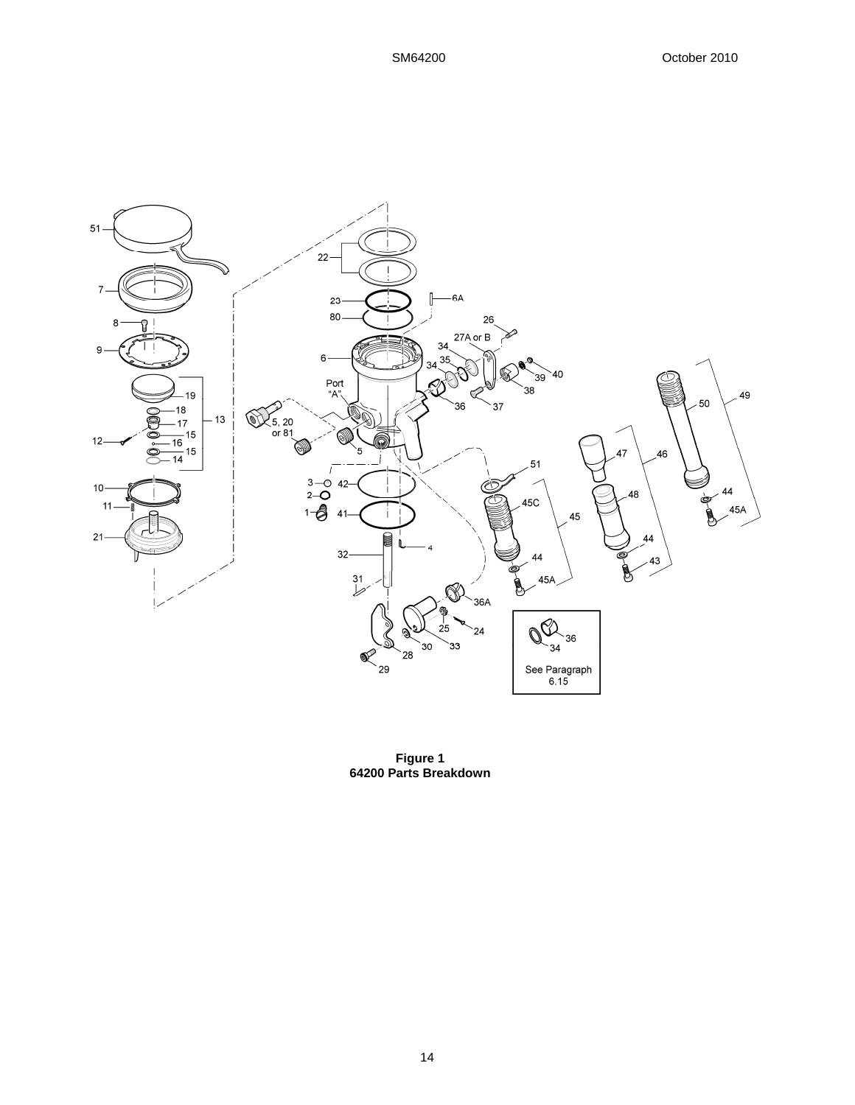

**Figure 1 64200 Parts Breakdown**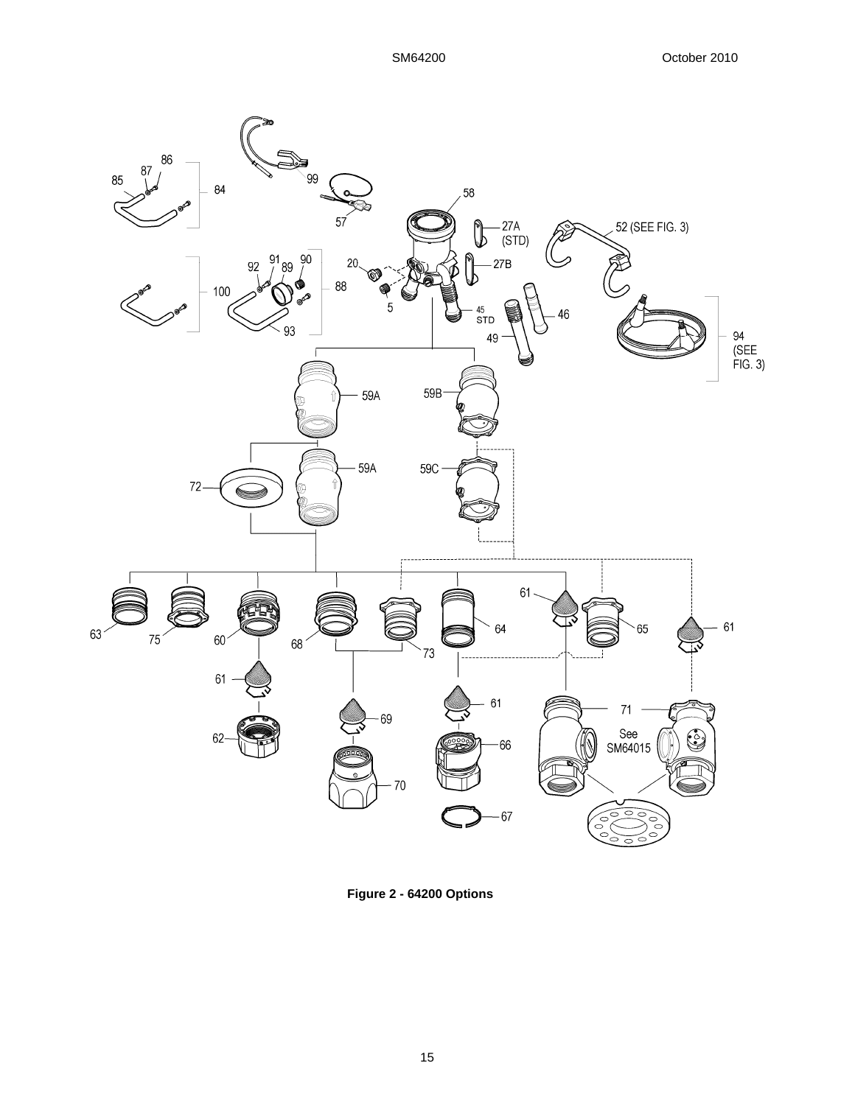

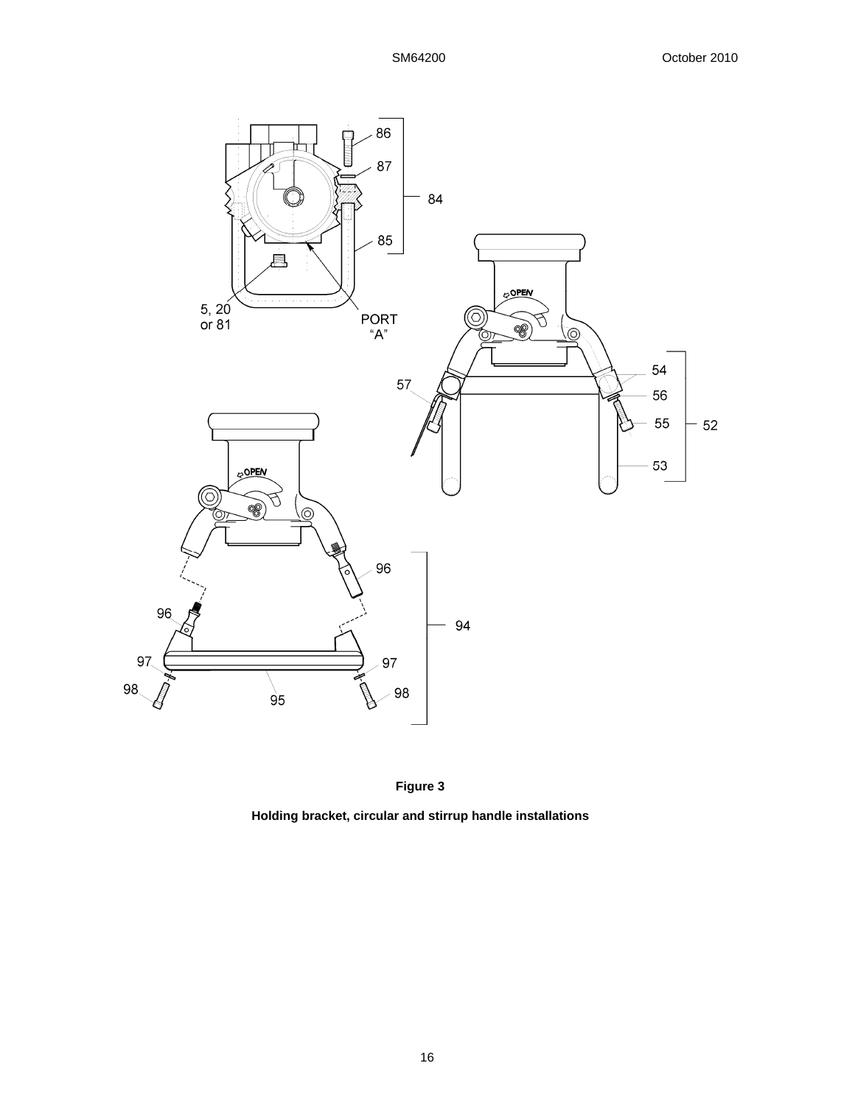



**Holding bracket, circular and stirrup handle installations**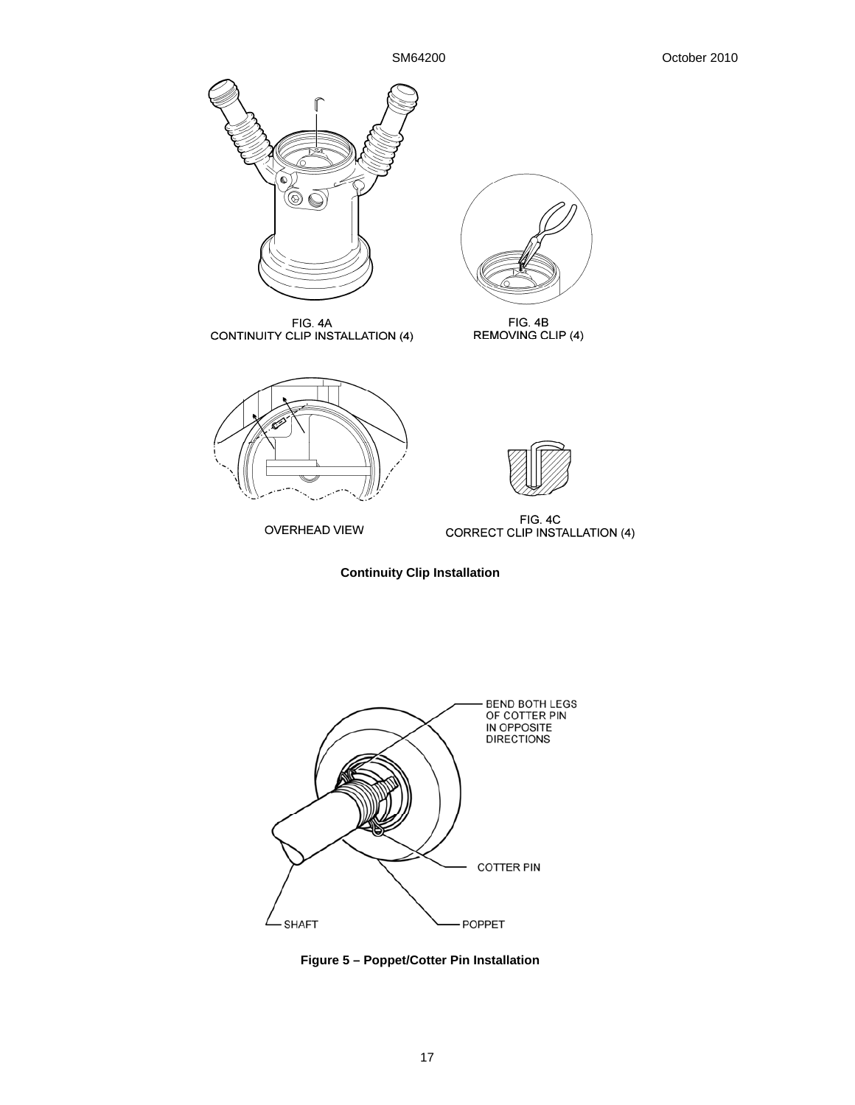

FIG. 4A<br>CONTINUITY CLIP INSTALLATION (4)



**OVERHEAD VIEW** 



FIG. 4B<br>REMOVING CLIP (4)



FIG. 4C<br>CORRECT CLIP INSTALLATION (4)





**Figure 5 – Poppet/Cotter Pin Installation**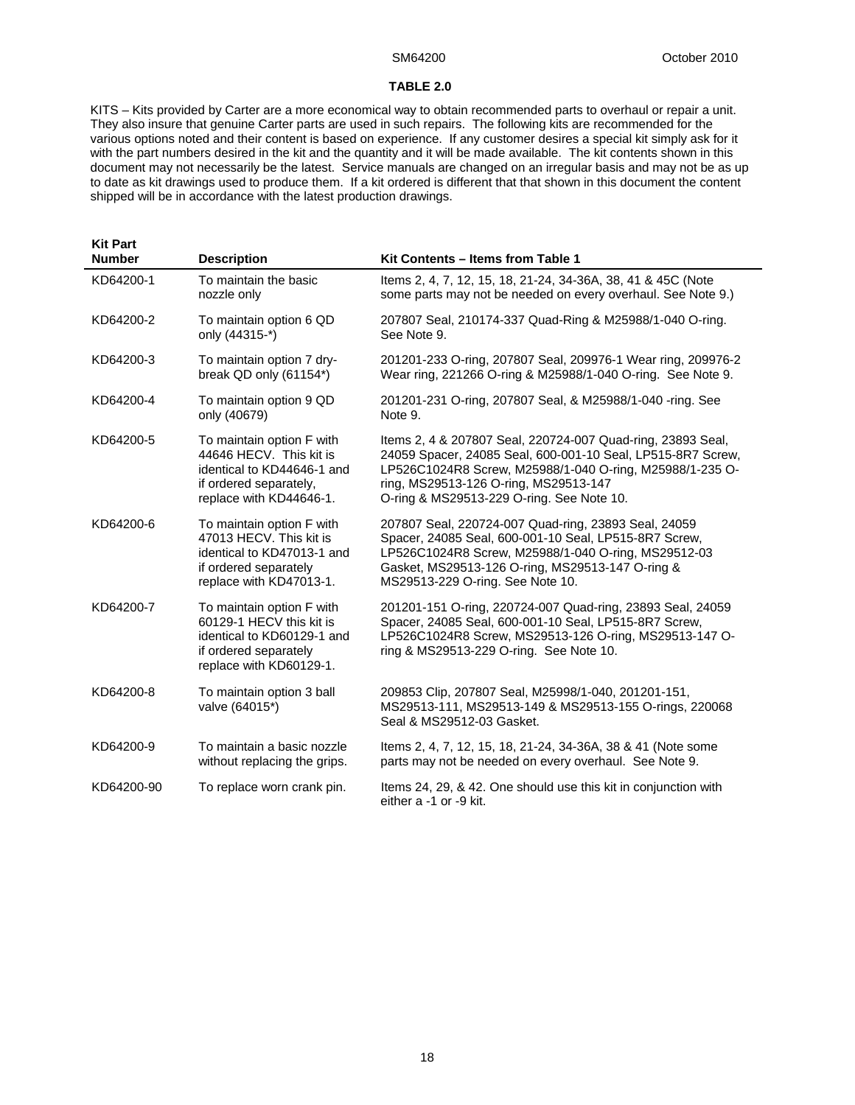#### **TABLE 2.0**

KITS – Kits provided by Carter are a more economical way to obtain recommended parts to overhaul or repair a unit. They also insure that genuine Carter parts are used in such repairs. The following kits are recommended for the various options noted and their content is based on experience. If any customer desires a special kit simply ask for it with the part numbers desired in the kit and the quantity and it will be made available. The kit contents shown in this document may not necessarily be the latest. Service manuals are changed on an irregular basis and may not be as up to date as kit drawings used to produce them. If a kit ordered is different that that shown in this document the content shipped will be in accordance with the latest production drawings.

| <b>Kit Part</b> |                                                                                                                                         |                                                                                                                                                                                                                                                                              |
|-----------------|-----------------------------------------------------------------------------------------------------------------------------------------|------------------------------------------------------------------------------------------------------------------------------------------------------------------------------------------------------------------------------------------------------------------------------|
| <b>Number</b>   | <b>Description</b>                                                                                                                      | Kit Contents - Items from Table 1                                                                                                                                                                                                                                            |
| KD64200-1       | To maintain the basic<br>nozzle only                                                                                                    | Items 2, 4, 7, 12, 15, 18, 21-24, 34-36A, 38, 41 & 45C (Note<br>some parts may not be needed on every overhaul. See Note 9.)                                                                                                                                                 |
| KD64200-2       | To maintain option 6 QD<br>only (44315-*)                                                                                               | 207807 Seal, 210174-337 Quad-Ring & M25988/1-040 O-ring.<br>See Note 9.                                                                                                                                                                                                      |
| KD64200-3       | To maintain option 7 dry-<br>break QD only (61154*)                                                                                     | 201201-233 O-ring, 207807 Seal, 209976-1 Wear ring, 209976-2<br>Wear ring, 221266 O-ring & M25988/1-040 O-ring. See Note 9.                                                                                                                                                  |
| KD64200-4       | To maintain option 9 QD<br>only (40679)                                                                                                 | 201201-231 O-ring, 207807 Seal, & M25988/1-040 -ring. See<br>Note 9.                                                                                                                                                                                                         |
| KD64200-5       | To maintain option F with<br>44646 HECV. This kit is<br>identical to KD44646-1 and<br>if ordered separately,<br>replace with KD44646-1. | Items 2, 4 & 207807 Seal, 220724-007 Quad-ring, 23893 Seal,<br>24059 Spacer, 24085 Seal, 600-001-10 Seal, LP515-8R7 Screw,<br>LP526C1024R8 Screw, M25988/1-040 O-ring, M25988/1-235 O-<br>ring, MS29513-126 O-ring, MS29513-147<br>O-ring & MS29513-229 O-ring. See Note 10. |
| KD64200-6       | To maintain option F with<br>47013 HECV. This kit is<br>identical to KD47013-1 and<br>if ordered separately<br>replace with KD47013-1.  | 207807 Seal, 220724-007 Quad-ring, 23893 Seal, 24059<br>Spacer, 24085 Seal, 600-001-10 Seal, LP515-8R7 Screw,<br>LP526C1024R8 Screw, M25988/1-040 O-ring, MS29512-03<br>Gasket, MS29513-126 O-ring, MS29513-147 O-ring &<br>MS29513-229 O-ring. See Note 10.                 |
| KD64200-7       | To maintain option F with<br>60129-1 HECV this kit is<br>identical to KD60129-1 and<br>if ordered separately<br>replace with KD60129-1. | 201201-151 O-ring, 220724-007 Quad-ring, 23893 Seal, 24059<br>Spacer, 24085 Seal, 600-001-10 Seal, LP515-8R7 Screw,<br>LP526C1024R8 Screw, MS29513-126 O-ring, MS29513-147 O-<br>ring & MS29513-229 O-ring. See Note 10.                                                     |
| KD64200-8       | To maintain option 3 ball<br>valve (64015*)                                                                                             | 209853 Clip, 207807 Seal, M25998/1-040, 201201-151,<br>MS29513-111, MS29513-149 & MS29513-155 O-rings, 220068<br>Seal & MS29512-03 Gasket.                                                                                                                                   |
| KD64200-9       | To maintain a basic nozzle<br>without replacing the grips.                                                                              | Items 2, 4, 7, 12, 15, 18, 21-24, 34-36A, 38 & 41 (Note some<br>parts may not be needed on every overhaul. See Note 9.                                                                                                                                                       |
| KD64200-90      | To replace worn crank pin.                                                                                                              | Items 24, 29, & 42. One should use this kit in conjunction with<br>either a -1 or -9 kit.                                                                                                                                                                                    |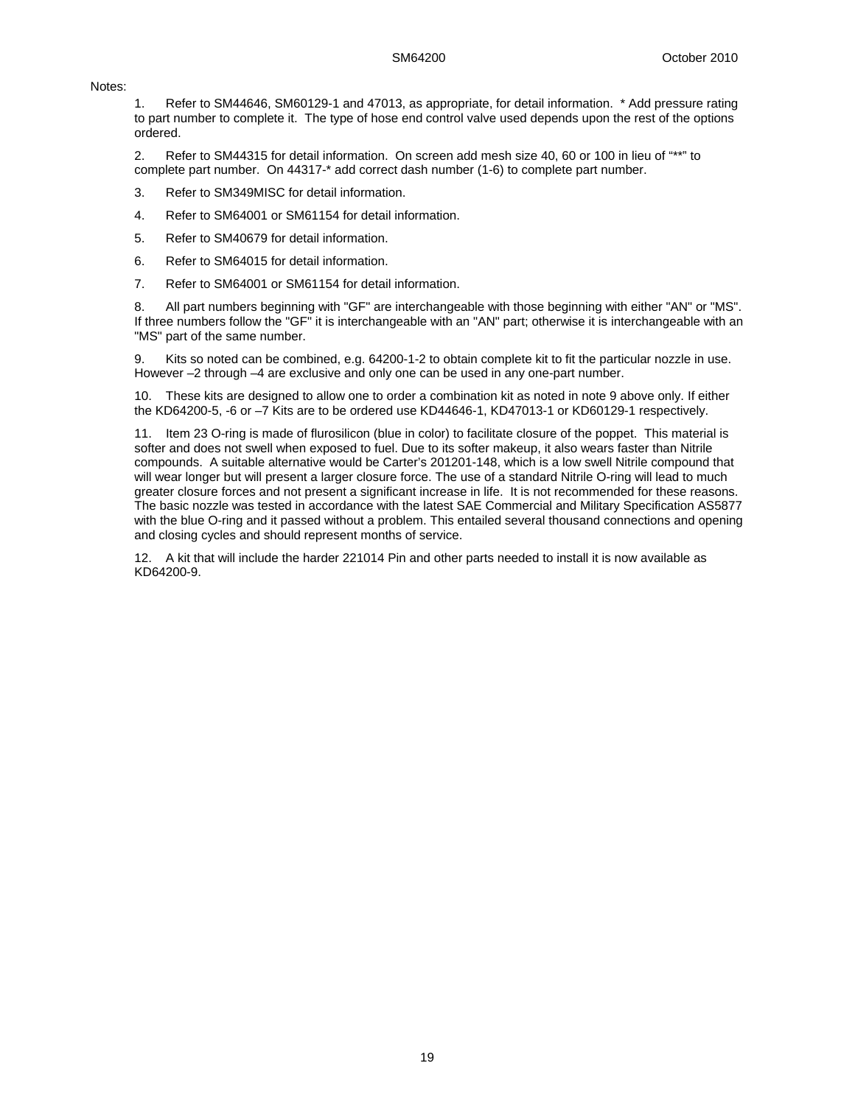#### Notes:

1. Refer to SM44646, SM60129-1 and 47013, as appropriate, for detail information. \* Add pressure rating to part number to complete it. The type of hose end control valve used depends upon the rest of the options ordered.

2. Refer to SM44315 for detail information. On screen add mesh size 40, 60 or 100 in lieu of "\*\*" to complete part number. On 44317-\* add correct dash number (1-6) to complete part number.

- 3. Refer to SM349MISC for detail information.
- 4. Refer to SM64001 or SM61154 for detail information.
- 5. Refer to SM40679 for detail information.
- 6. Refer to SM64015 for detail information.
- 7. Refer to SM64001 or SM61154 for detail information.

8. All part numbers beginning with "GF" are interchangeable with those beginning with either "AN" or "MS". If three numbers follow the "GF" it is interchangeable with an "AN" part; otherwise it is interchangeable with an "MS" part of the same number.

9. Kits so noted can be combined, e.g. 64200-1-2 to obtain complete kit to fit the particular nozzle in use. However –2 through –4 are exclusive and only one can be used in any one-part number.

10. These kits are designed to allow one to order a combination kit as noted in note 9 above only. If either the KD64200-5, -6 or –7 Kits are to be ordered use KD44646-1, KD47013-1 or KD60129-1 respectively.

11. Item 23 O-ring is made of flurosilicon (blue in color) to facilitate closure of the poppet. This material is softer and does not swell when exposed to fuel. Due to its softer makeup, it also wears faster than Nitrile compounds. A suitable alternative would be Carter's 201201-148, which is a low swell Nitrile compound that will wear longer but will present a larger closure force. The use of a standard Nitrile O-ring will lead to much greater closure forces and not present a significant increase in life. It is not recommended for these reasons. The basic nozzle was tested in accordance with the latest SAE Commercial and Military Specification AS5877 with the blue O-ring and it passed without a problem. This entailed several thousand connections and opening and closing cycles and should represent months of service.

12. A kit that will include the harder 221014 Pin and other parts needed to install it is now available as KD64200-9.